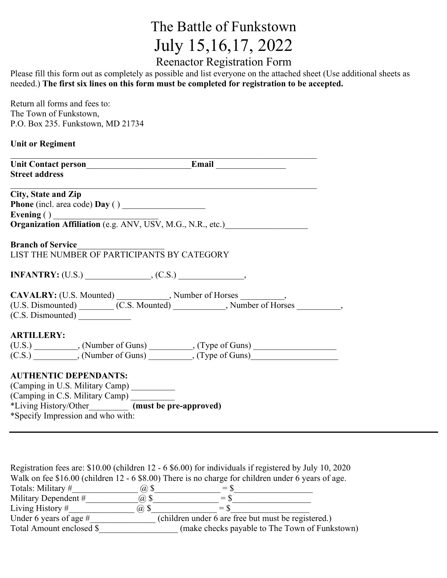## The Battle of Funkstown July 15,16,17, 2022

Reenactor Registration Form

Please fill this form out as completely as possible and list everyone on the attached sheet (Use additional sheets as needed.) **The first six lines on this form must be completed for registration to be accepted.**

| Return all forms and fees to:     |
|-----------------------------------|
| The Town of Funkstown,            |
| P.O. Box 235. Funkstown, MD 21734 |

## **Unit or Regiment**

|                                   |                                                         | Unit Contact person<br>Email                                                                                                                                                                                                   |  |
|-----------------------------------|---------------------------------------------------------|--------------------------------------------------------------------------------------------------------------------------------------------------------------------------------------------------------------------------------|--|
| <b>Street address</b>             |                                                         |                                                                                                                                                                                                                                |  |
| <b>City, State and Zip</b>        | Phone (incl. area code) Day ()                          |                                                                                                                                                                                                                                |  |
|                                   |                                                         | Evening ()<br>Organization Affiliation (e.g. ANV, USV, M.G., N.R., etc.)                                                                                                                                                       |  |
| <b>Branch of Service</b>          | LIST THE NUMBER OF PARTICIPANTS BY CATEGORY             |                                                                                                                                                                                                                                |  |
|                                   |                                                         | $INFANTRY: (U.S.)$ (C.S.)                                                                                                                                                                                                      |  |
| (C.S. Dismounted)                 |                                                         | CAVALRY: (U.S. Mounted) (C.S. Mounted) Number of Horses (U.S. Dismounted) (C.S. Mounted) (C.S. Mounted) (C.S. Mounted) (C.S. Nounted) (C.S. Nounted) (C.S. Nounted) (C.S. Nounted) (C.S. Nounted) (C.S. Nounted) (C.S. Nounted |  |
| <b>ARTILLERY:</b>                 |                                                         |                                                                                                                                                                                                                                |  |
|                                   |                                                         |                                                                                                                                                                                                                                |  |
| <b>AUTHENTIC DEPENDANTS:</b>      |                                                         |                                                                                                                                                                                                                                |  |
|                                   | (Camping in U.S. Military Camp) _________               |                                                                                                                                                                                                                                |  |
|                                   | (Camping in C.S. Military Camp) _________               |                                                                                                                                                                                                                                |  |
|                                   | *Living History/Other___________ (must be pre-approved) |                                                                                                                                                                                                                                |  |
| *Specify Impression and who with: |                                                         |                                                                                                                                                                                                                                |  |

|                          | Registration fees are: $$10.00$ (children 12 - 6 $$6.00$ ) for individuals if registered by July 10, 2020 |
|--------------------------|-----------------------------------------------------------------------------------------------------------|
|                          | Walk on fee \$16.00 (children 12 - 6 \$8.00) There is no charge for children under 6 years of age.        |
| Totals: Military #       | $(a)$ \$<br>$=$ \$                                                                                        |
| Military Dependent #     | $(a)$ \$<br>$=$ S                                                                                         |
| Living History $#$       | @S<br>$=$ S                                                                                               |
| Under 6 years of age $#$ | (children under 6 are free but must be registered.)                                                       |
| Total Amount enclosed \$ | (make checks payable to The Town of Funkstown)                                                            |